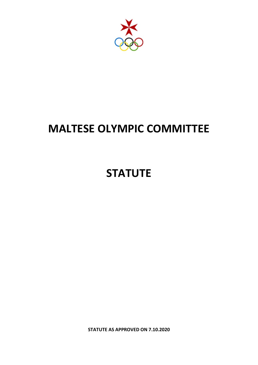

# **MALTESE OLYMPIC COMMITTEE**

# **STATUTE**

**STATUTE AS APPROVED ON 7.10.2020**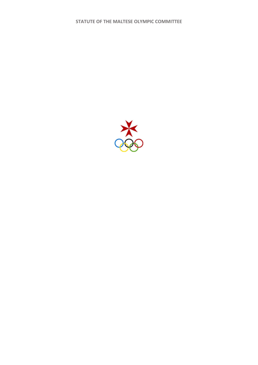**STATUTE OF THE MALTESE OLYMPIC COMMITTEE**

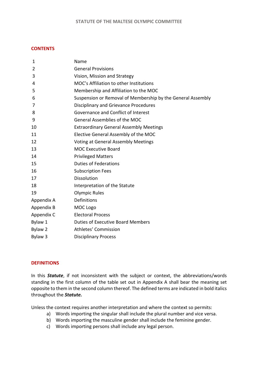## **CONTENTS**

| 1          | Name                                                        |  |  |  |  |  |
|------------|-------------------------------------------------------------|--|--|--|--|--|
| 2          | <b>General Provisions</b>                                   |  |  |  |  |  |
| 3          | Vision, Mission and Strategy                                |  |  |  |  |  |
| 4          | MOC's Affiliation to other Institutions                     |  |  |  |  |  |
| 5          | Membership and Affiliation to the MOC                       |  |  |  |  |  |
| 6          | Suspension or Removal of Membership by the General Assembly |  |  |  |  |  |
| 7          | Disciplinary and Grievance Procedures                       |  |  |  |  |  |
| 8          | Governance and Conflict of Interest                         |  |  |  |  |  |
| 9          | General Assemblies of the MOC                               |  |  |  |  |  |
| 10         | <b>Extraordinary General Assembly Meetings</b>              |  |  |  |  |  |
| 11         | Elective General Assembly of the MOC                        |  |  |  |  |  |
| 12         | <b>Voting at General Assembly Meetings</b>                  |  |  |  |  |  |
| 13         | <b>MOC Executive Board</b>                                  |  |  |  |  |  |
| 14         | <b>Privileged Matters</b>                                   |  |  |  |  |  |
| 15         | <b>Duties of Federations</b>                                |  |  |  |  |  |
| 16         | <b>Subscription Fees</b>                                    |  |  |  |  |  |
| 17         | <b>Dissolution</b>                                          |  |  |  |  |  |
| 18         | Interpretation of the Statute                               |  |  |  |  |  |
| 19         | <b>Olympic Rules</b>                                        |  |  |  |  |  |
| Appendix A | Definitions                                                 |  |  |  |  |  |
| Appendix B | MOC Logo                                                    |  |  |  |  |  |
| Appendix C | <b>Electoral Process</b>                                    |  |  |  |  |  |
| Bylaw 1    | <b>Duties of Executive Board Members</b>                    |  |  |  |  |  |
| Bylaw 2    | Athletes' Commission                                        |  |  |  |  |  |
| Bylaw 3    | <b>Disciplinary Process</b>                                 |  |  |  |  |  |

### **DEFINITIONS**

In this *Statute*, if not inconsistent with the subject or context, the abbreviations/words standing in the first column of the table set out in Appendix A shall bear the meaning set opposite to them in the second column thereof. The defined terms are indicated in bold italics throughout the *Statute.*

Unless the context requires another interpretation and where the context so permits:

- a) Words importing the singular shall include the plural number and vice versa.
- b) Words importing the masculine gender shall include the feminine gender.
- c) Words importing persons shall include any legal person.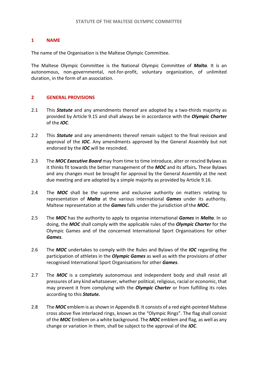## **1 NAME**

The name of the Organisation is the Maltese Olympic Committee.

The Maltese Olympic Committee is the National Olympic Committee of *Malta*. It is an autonomous, non-governmental, not-for-profit, voluntary organization, of unlimited duration, in the form of an association.

# **2 GENERAL PROVISIONS**

- 2.1 This *Statute* and any amendments thereof are adopted by a two-thirds majority as provided by Article 9.15 and shall always be in accordance with the *Olympic Charter*  of the *IOC*.
- 2.2 This *Statute* and any amendments thereof remain subject to the final revision and approval of the *IOC*. Any amendments approved by the General Assembly but not endorsed by the *IOC* will be rescinded.
- 2.3 The *MOC Executive Board* may from time to time introduce, alter or rescind Bylaws as it thinks fit towards the better management of the *MOC* and its affairs*.* These Bylaws and any changes must be brought for approval by the General Assembly at the next due meeting and are adopted by a simple majority as provided by Article 9.16.
- 2.4 The **MOC** shall be the supreme and exclusive authority on matters relating to representation of *Malta* at the various international *Games* under its authority. Maltese representation at the *Games* falls under the jurisdiction of the *MOC.*
- 2.5 The *MOC* has the authority to apply to organise international *Games* in *Malta*. In so doing, the *MOC* shall comply with the applicable rules of the *Olympic Charter* for the Olympic Games and of the concerned International Sport Organisations for other *Games*.
- 2.6 The *MOC* undertakes to comply with the Rules and Bylaws of the *IOC* regarding the participation of athletes in the *Olympic Games* as well as with the provisions of other recognised International Sport Organisations for other *Games*.
- 2.7 The **MOC** is a completely autonomous and independent body and shall resist all pressures of any kind whatsoever, whether political, religious, racial or economic, that may prevent it from complying with the *Olympic Charter* or from fulfilling its roles according to this *Statute.*
- 2.8 The *MOC* emblem is as shown in Appendix B. It consists of a red eight-pointed Maltese cross above five interlaced rings, known as the "Olympic Rings". The flag shall consist of the *MOC* Emblem on a white background. The *MOC* emblem and flag, as well as any change or variation in them, shall be subject to the approval of the *IOC*.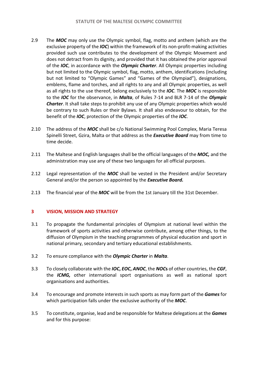- 2.9 The *MOC* may only use the Olympic symbol, flag, motto and anthem (which are the exclusive property of the *IOC*) within the framework of its non-profit-making activities provided such use contributes to the development of the Olympic Movement and does not detract from its dignity, and provided that it has obtained the prior approval of the *IOC*, in accordance with the *Olympic Charter*. All Olympic properties including but not limited to the Olympic symbol, flag, motto, anthem, identifications (including but not limited to "Olympic Games" and "Games of the Olympiad"), designations, emblems, flame and torches, and all rights to any and all Olympic properties, as well as all rights to the use thereof, belong exclusively to the *IOC*. The *MOC* is responsible to the *IOC* for the observance, in *Malta*, of Rules 7-14 and BLR 7-14 of the *Olympic Charter*. It shall take steps to prohibit any use of any Olympic properties which would be contrary to such Rules or their Bylaws. It shall also endeavour to obtain, for the benefit of the *IOC*, protection of the Olympic properties of the *IOC*.
- 2.10 The address of the *MOC* shall be c/o National Swimming Pool Complex, Maria Teresa Spinelli Street, Gzira, Malta or that address as the *Executive Board* may from time to time decide.
- 2.11 The Maltese and English languages shall be the official languages of the *MOC,* and the administration may use any of these two languages for all official purposes.
- 2.12 Legal representation of the *MOC* shall be vested in the President and/or Secretary General and/or the person so appointed by the *Executive Board.*
- 2.13 The financial year of the *MOC* will be from the 1st January till the 31st December.

# **3 VISION, MISSION AND STRATEGY**

- 3.1 To propagate the fundamental principles of Olympism at national level within the framework of sports activities and otherwise contribute, among other things, to the diffusion of Olympism in the teaching programmes of physical education and sport in national primary, secondary and tertiary educational establishments.
- 3.2 To ensure compliance with the *Olympic Charter* in *Malta*.
- 3.3 To closely collaborate with the *IOC***,** *EOC***,** *ANOC*, the *NOC***s** of other countries, the *CGF*, the *ICMG,* other international sport organisations as well as national sport organisations and authorities.
- 3.4 To encourage and promote interests in such sports as may form part of the *Games* for which participation falls under the exclusive authority of the *MOC*.
- 3.5 To constitute, organise, lead and be responsible for Maltese delegations at the *Games*  and for this purpose: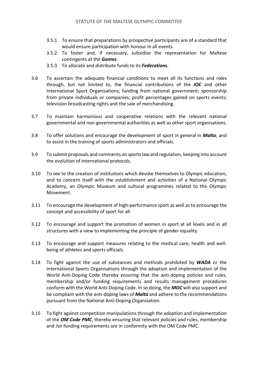- 3.5.1 To ensure that preparations by prospective participants are of a standard that would ensure participation with honour in all events.
- 3.5.2 To foster and, if necessary, subsidize the representation for Maltese contingents at the *Games*.
- 3.5.3 To allocate and distribute funds to its *Federation***s**.
- 3.6 To ascertain the adequate financial conditions to meet all its functions and roles through, but not limited to, the financial contributions of the *IOC* and other International Sport Organisations; funding from national government; sponsorship from private individuals or companies; profit percentages gained on sports events; television broadcasting rights and the sale of merchandising.
- 3.7 To maintain harmonious and cooperative relations with the relevant national governmental and non-governmental authorities as well as other sport organisations.
- 3.8 To offer solutions and encourage the development of sport in general in *Malta*; and to assist in the training of sports administrators and officials.
- 3.9 To submit proposals and comments on sports law and regulation, keeping into account the evolution of international protocols.
- 3.10 To see to the creation of institutions which devote themselves to Olympic education; and to concern itself with the establishment and activities of a National Olympic Academy, an Olympic Museum and cultural programmes related to the Olympic Movement.
- 3.11 To encourage the development of high-performance sport as well as to encourage the concept and accessibility of sport for all.
- 3.12 To encourage and support the promotion of women in sport at all levels and in all structures with a view to implementing the principle of gender equality.
- 3.13 To encourage and support measures relating to the medical care, health and wellbeing of athletes and sports officials.
- 3.14 To fight against the use of substances and methods prohibited by *WADA* or the International Sports Organisations through the adoption and implementation of the World Anti-Doping Code thereby ensuring that the anti-doping policies and rules, membership and/or funding requirements and results management procedures conform with the World Anti-Doping Code. In so doing, the *MOC* will also support and be compliant with the anti-doping laws of *Malta* and adhere to the recommendations pursuant from the National Anti-Doping Organisation.
- 3.15 To fight against competition manipulations through the adoption and implementation of the *OM Code PMC*, thereby ensuring that relevant policies and rules, membership and /or funding requirements are in conformity with the OM Code PMC.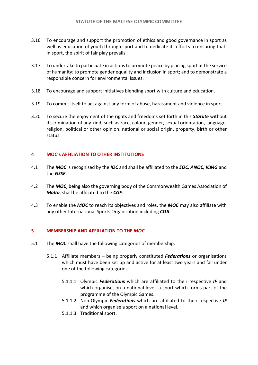- 3.16 To encourage and support the promotion of ethics and good governance in sport as well as education of youth through sport and to dedicate its efforts to ensuring that, in sport, the spirit of fair play prevails.
- 3.17 To undertake to participate in actions to promote peace by placing sport at the service of humanity; to promote gender equality and inclusion in sport; and to demonstrate a responsible concern for environmental issues.
- 3.18 To encourage and support initiatives blending sport with culture and education.
- 3.19 To commit itself to act against any form of abuse, harassment and violence in sport.
- 3.20 To secure the enjoyment of the rights and freedoms set forth in this *Statute* without discrimination of any kind, such as race, colour, gender, sexual orientation, language, religion, political or other opinion, national or social origin, property, birth or other status.

# **4 MOC's AFFILIATION TO OTHER INSTITUTIONS**

- 4.1 The *MOC* is recognised by the *IOC* and shall be affiliated to the *EOC, ANOC, ICMG* and the *GSSE.*
- 4.2 The *MOC*, being also the governing body of the Commonwealth Games Association of *Malta*, shall be affiliated to the *CGF*.
- 4.3 To enable the *MOC* to reach its objectives and roles, the *MOC* may also affiliate with any other International Sports Organisation including *COJI*.

# **5 MEMBERSHIP AND AFFILIATION TO THE** *MOC*

- 5.1 The *MOC* shall have the following categories of membership:
	- 5.1.1 Affiliate members being properly constituted *Federations* or organisations which must have been set up and active for at least two years and fall under one of the following categories:
		- 5.1.1.1 Olympic *Federation***s** which are affiliated to their respective *IF* and which organise, on a national level, a sport which forms part of the programme of the Olympic Games.
		- 5.1.1.2 Non-Olympic *Federations* which are affiliated to their respective *IF*  and which organise a sport on a national level.
		- 5.1.1.3 Traditional sport.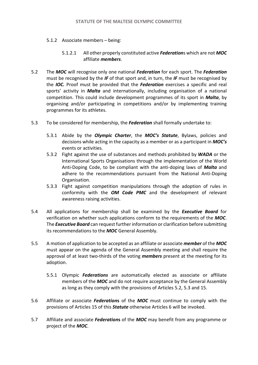- 5.1.2 Associate members being:
	- 5.1.2.1 All other properly constituted active *Federation*s which are not *MOC*  affiliate *members*.
- 5.2 The *MOC* will recognise only one national *Federation* for each sport. The *Federation*  must be recognised by the *IF* of that sport and, in turn, the *IF* must be recognised by the *IOC.* Proof must be provided that the *Federation* exercises a specific and real sports' activity in *Malta* and internationally, including organisation of a national competition. This could include development programmes of its sport in *Malta*, by organising and/or participating in competitions and/or by implementing training programmes for its athletes.
- 5.3 To be considered for membership, the *Federation* shall formally undertake to:
	- 5.3.1 Abide by the *Olympic Charter*, the *MOC's Statute*, Bylaws, policies and decisions while acting in the capacity as a member or as a participant in *MOC's*  events or activities.
	- 5.3.2 Fight against the use of substances and methods prohibited by *WADA* or the International Sports Organisations through the implementation of the World Anti-Doping Code, to be compliant with the anti-doping laws of *Malta* and adhere to the recommendations pursuant from the National Anti-Doping Organisation.
	- 5.3.3 Fight against competition manipulations through the adoption of rules in conformity with the *OM Code PMC* and the development of relevant awareness raising activities.
- 5.4 All applications for membership shall be examined by the *Executive Board* for verification on whether such applications conform to the requirements of the *MOC*. The *Executive Board* can request further information or clarification before submitting its recommendations to the *MOC* General Assembly.
- 5.5 A motion of application to be accepted as an affiliate or associate *member* of the *MOC*  must appear on the agenda of the General Assembly meeting and shall require the approval of at least two-thirds of the voting *members* present at the meeting for its adoption.
	- 5.5.1 Olympic *Federations* are automatically elected as associate or affiliate members of the *MOC* and do not require acceptance by the General Assembly as long as they comply with the provisions of Articles 5.2, 5.3 and 15.
- 5.6 Affiliate or associate *Federation***s** of the *MOC* must continue to comply with the provisions of Articles 15 of this *Statute* otherwise Articles 6 will be invoked.
- 5.7 Affiliate and associate *Federation***s** of the *MOC* may benefit from any programme or project of the *MOC*.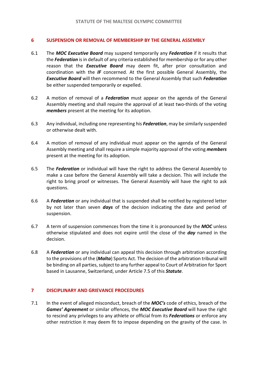## **6 SUSPENSION OR REMOVAL OF MEMBERSHIP BY THE GENERAL ASSEMBLY**

- 6.1 The *MOC Executive Board* may suspend temporarily any *Federation* if it results that the *Federation* is in default of any criteria established for membership or for any other reason that the *Executive Board* may deem fit, after prior consultation and coordination with the *IF* concerned. At the first possible General Assembly, the *Executive Board* will then recommend to the General Assembly that such *Federation*  be either suspended temporarily or expelled.
- 6.2 A motion of removal of a *Federation* must appear on the agenda of the General Assembly meeting and shall require the approval of at least two-thirds of the voting *members* present at the meeting for its adoption.
- 6.3 Any individual, including one representing his *Federation*, may be similarly suspended or otherwise dealt with.
- 6.4 A motion of removal of any individual must appear on the agenda of the General Assembly meeting and shall require a simple majority approval of the voting *members* present at the meeting for its adoption.
- 6.5 The *Federation* or individual will have the right to address the General Assembly to make a case before the General Assembly will take a decision. This will include the right to bring proof or witnesses. The General Assembly will have the right to ask questions.
- 6.6 A *Federation* or any individual that is suspended shall be notified by registered letter by not later than seven *days* of the decision indicating the date and period of suspension.
- 6.7 A term of suspension commences from the time it is pronounced by the *MOC* unless otherwise stipulated and does not expire until the close of the *day* named in the decision.
- 6.8 A *Federation* or any individual can appeal this decision through arbitration according to the provisions of the (*Malta*) Sports Act. The decision of the arbitration tribunal will be binding on all parties, subject to any further appeal to Court of Arbitration for Sport based in Lausanne, Switzerland, under Article 7.5 of this *Statute*.

### **7 DISCIPLINARY AND GRIEVANCE PROCEDURES**

7.1 In the event of alleged misconduct, breach of the *MOC's* code of ethics, breach of the *Games' Agreement* or similar offences, the *MOC Executive Board* will have the right to rescind any privileges to any athlete or official from its *Federations* or enforce any other restriction it may deem fit to impose depending on the gravity of the case. In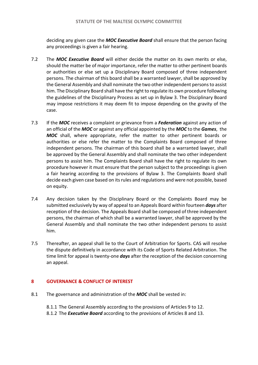deciding any given case the *MOC Executive Board* shall ensure that the person facing any proceedings is given a fair hearing.

- 7.2 The *MOC Executive Board* will either decide the matter on its own merits or else, should the matter be of major importance, refer the matter to other pertinent boards or authorities or else set up a Disciplinary Board composed of three independent persons. The chairman of this board shall be a warranted lawyer, shall be approved by the General Assembly and shall nominate the two other independent persons to assist him. The Disciplinary Board shall have the right to regulate its own procedure following the guidelines of the Disciplinary Process as set up in Bylaw 3. The Disciplinary Board may impose restrictions it may deem fit to impose depending on the gravity of the case.
- 7.3 If the *MOC* receives a complaint or grievance from a *Federation* against any action of an official of the *MOC* or against any official appointed by the *MOC* to the *Games*, the *MOC* shall, where appropriate, refer the matter to other pertinent boards or authorities or else refer the matter to the Complaints Board composed of three independent persons. The chairman of this board shall be a warranted lawyer, shall be approved by the General Assembly and shall nominate the two other independent persons to assist him. The Complaints Board shall have the right to regulate its own procedure however it must ensure that the person subject to the proceedings is given a fair hearing according to the provisions of Bylaw 3. The Complaints Board shall decide each given case based on its rules and regulations and were not possible, based on equity.
- 7.4 Any decision taken by the Disciplinary Board or the Complaints Board may be submitted exclusively by way of appeal to an Appeals Board within fourteen *days* after reception of the decision. The Appeals Board shall be composed of three independent persons, the chairman of which shall be a warranted lawyer, shall be approved by the General Assembly and shall nominate the two other independent persons to assist him.
- 7.5 Thereafter, an appeal shall lie to the Court of Arbitration for Sports. CAS will resolve the dispute definitively in accordance with its Code of Sports Related Arbitration. The time limit for appeal is twenty-one *days* after the reception of the decision concerning an appeal.

# **8 GOVERNANCE & CONFLICT OF INTEREST**

- 8.1 The governance and administration of the *MOC* shall be vested in:
	- 8.1.1 The General Assembly according to the provisions of Articles 9 to 12.
	- 8.1.2 The *Executive Board* according to the provisions of Articles 8 and 13.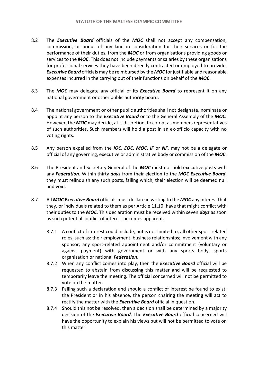- 8.2 The *Executive Board* officials of the *MOC* shall not accept any compensation, commission, or bonus of any kind in consideration for their services or for the performance of their duties, from the *MOC* or from organisations providing goods or services to the *MOC*. This does not include payments or salaries by these organisations for professional services they have been directly contracted or employed to provide. *Executive Board* officials may be reimbursed by the *MOC* for justifiable and reasonable expenses incurred in the carrying out of their functions on behalf of the *MOC*.
- 8.3 The *MOC* may delegate any official of its *Executive Board* to represent it on any national government or other public authority board.
- 8.4 The national government or other public authorities shall not designate, nominate or appoint any person to the *Executive Board* or to the General Assembly of the *MOC.*  However, the *MOC* may decide, at is discretion, to co-opt as members representatives of such authorities. Such members will hold a post in an ex-officio capacity with no voting rights.
- 8.5 Any person expelled from the *IOC***,** *EOC, MOC, IF* or *NF*, may not be a delegate or official of any governing, executive or administrative body or commission of the *MOC*.
- 8.6 The President and Secretary General of the *MOC* must not hold executive posts with any *Federation*. Within thirty *days* from their election to the *MOC Executive Board*, they must relinquish any such posts, failing which, their election will be deemed null and void.
- 8.7 All *MOC Executive Board* officials must declare in writing to the *MOC* any interest that they, or individuals related to them as per Article 11.10, have that might conflict with their duties to the *MOC*. This declaration must be received within seven *days* as soon as such potential conflict of interest becomes apparent.
	- 8.7.1 A conflict of interest could include, but is not limited to, all other sport-related roles, such as: their employment; business relationships; involvement with any sponsor; any sport-related appointment and/or commitment (voluntary or against payment) with government or with any sports body, sports organization or national *Federation*.
	- 8.7.2 When any conflict comes into play, then the *Executive Board* official will be requested to abstain from discussing this matter and will be requested to temporarily leave the meeting. The official concerned will not be permitted to vote on the matter.
	- 8.7.3 Failing such a declaration and should a conflict of interest be found to exist; the President or in his absence, the person chairing the meeting will act to rectify the matter with the *Executive Board* official in question.
	- 8.7.4 Should this not be resolved, then a decision shall be determined by a majority decision of the *Executive Board*. The *Executive Board* official concerned will have the opportunity to explain his views but will not be permitted to vote on this matter.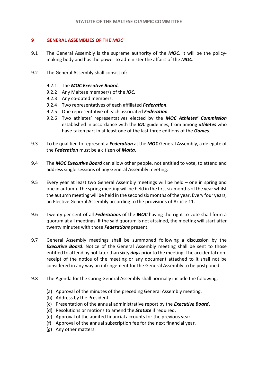## **9 GENERAL ASSEMBLIES OF THE** *MOC*

- 9.1 The General Assembly is the supreme authority of the *MOC*. It will be the policymaking body and has the power to administer the affairs of the *MOC*.
- 9.2 The General Assembly shall consist of:
	- 9.2.1 The *MOC Executive Board.*
	- 9.2.2 Any Maltese member/s of the *IOC.*
	- 9.2.3 Any co-opted members.
	- 9.2.4 Two representatives of each affiliated *Federation*.
	- 9.2.5 One representative of each associated *Federation*.
	- 9.2.6 Two athletes' representatives elected by the *MOC Athletes' Commission* established in accordance with the *IOC* guidelines, from among *athletes* who have taken part in at least one of the last three editions of the *Games*.
- 9.3 To be qualified to represent a *Federation* at the *MOC* General Assembly, a delegate of the *Federation* must be a citizen of *Malta*.
- 9.4 The *MOC Executive Board* can allow other people, not entitled to vote, to attend and address single sessions of any General Assembly meeting.
- 9.5 Every year at least two General Assembly meetings will be held one in spring and one in autumn. The spring meeting will be held in the first six months of the year whilst the autumn meeting will be held in the second six months of the year. Every four years, an Elective General Assembly according to the provisions of Article 11.
- 9.6 Twenty per cent of all *Federation***s** of the *MOC* having the right to vote shall form a quorum at all meetings. If the said quorum is not attained, the meeting will start after twenty minutes with those *Federations* present.
- 9.7 General Assembly meetings shall be summoned following a discussion by the *Executive Board*. Notice of the General Assembly meeting shall be sent to those entitled to attend by not later than sixty *days* prior to the meeting. The accidental nonreceipt of the notice of the meeting or any document attached to it shall not be considered in any way an infringement for the General Assembly to be postponed.
- 9.8 The Agenda for the spring General Assembly shall normally include the following:
	- (a) Approval of the minutes of the preceding General Assembly meeting.
	- (b) Address by the President.
	- (c) Presentation of the annual administrative report by the *Executive Board***.**
	- (d) Resolutions or motions to amend the *Statute* if required.
	- (e) Approval of the audited financial accounts for the previous year.
	- (f) Approval of the annual subscription fee for the next financial year.
	- (g) Any other matters.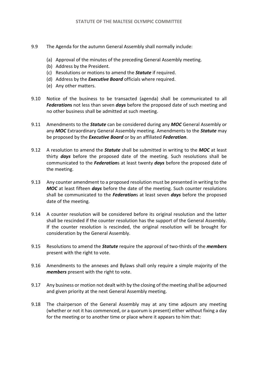- 9.9 The Agenda for the autumn General Assembly shall normally include:
	- (a) Approval of the minutes of the preceding General Assembly meeting.
	- (b) Address by the President.
	- (c) Resolutions or motions to amend the *Statute* if required.
	- (d) Address by the *Executive Board* officials where required.
	- (e) Any other matters.
- 9.10 Notice of the business to be transacted (agenda) shall be communicated to all *Federation***s** not less than seven *days* before the proposed date of such meeting and no other business shall be admitted at such meeting.
- 9.11 Amendments to the *Statute* can be considered during any *MOC* General Assembly or any *MOC* Extraordinary General Assembly meeting. Amendments to the *Statute* may be proposed by the *Executive Board* or by an affiliated *Federation*.
- 9.12 A resolution to amend the *Statute* shall be submitted in writing to the *MOC* at least thirty *days* before the proposed date of the meeting. Such resolutions shall be communicated to the *Federation*s at least twenty *days* before the proposed date of the meeting.
- 9.13 Any counter amendment to a proposed resolution must be presented in writing to the *MOC* at least fifteen *days* before the date of the meeting. Such counter resolutions shall be communicated to the *Federation*s at least seven *days* before the proposed date of the meeting.
- 9.14 A counter resolution will be considered before its original resolution and the latter shall be rescinded if the counter resolution has the support of the General Assembly. If the counter resolution is rescinded, the original resolution will be brought for consideration by the General Assembly.
- 9.15 Resolutions to amend the *Statute* require the approval of two-thirds of the *members* present with the right to vote.
- 9.16 Amendments to the annexes and Bylaws shall only require a simple majority of the *members* present with the right to vote.
- 9.17 Any business or motion not dealt with by the closing of the meeting shall be adjourned and given priority at the next General Assembly meeting.
- 9.18 The chairperson of the General Assembly may at any time adjourn any meeting (whether or not it has commenced, or a quorum is present) either without fixing a day for the meeting or to another time or place where it appears to him that: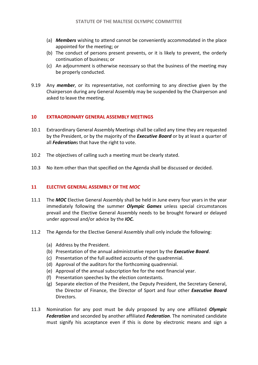- (a) *Members* wishing to attend cannot be conveniently accommodated in the place appointed for the meeting; or
- (b) The conduct of persons present prevents, or it is likely to prevent, the orderly continuation of business; or
- (c) An adjournment is otherwise necessary so that the business of the meeting may be properly conducted.
- 9.19 Any *member*, or its representative, not conforming to any directive given by the Chairperson during any General Assembly may be suspended by the Chairperson and asked to leave the meeting.

## **10 EXTRAORDINARY GENERAL ASSEMBLY MEETINGS**

- 10.1 Extraordinary General Assembly Meetings shall be called any time they are requested by the President, or by the majority of the *Executive Board* or by at least a quarter of all *Federation*s that have the right to vote.
- 10.2 The objectives of calling such a meeting must be clearly stated.
- 10.3 No item other than that specified on the Agenda shall be discussed or decided.

# **11 ELECTIVE GENERAL ASSEMBLY OF THE** *MOC*

- 11.1 The *MOC* Elective General Assembly shall be held in June every four years in the year immediately following the summer *Olympic Games* unless special circumstances prevail and the Elective General Assembly needs to be brought forward or delayed under approval and/or advice by the *IOC.*
- 11.2 The Agenda for the Elective General Assembly shall only include the following:
	- (a) Address by the President.
	- (b) Presentation of the annual administrative report by the *Executive Board*.
	- (c) Presentation of the full audited accounts of the quadrennial.
	- (d) Approval of the auditors for the forthcoming quadrennial.
	- (e) Approval of the annual subscription fee for the next financial year.
	- (f) Presentation speeches by the election contestants.
	- (g) Separate election of the President, the Deputy President, the Secretary General, the Director of Finance, the Director of Sport and four other *Executive Board*  Directors.
- 11.3 Nomination for any post must be duly proposed by any one affiliated *Olympic Federation* and seconded by another affiliated *Federation*. The nominated candidate must signify his acceptance even if this is done by electronic means and sign a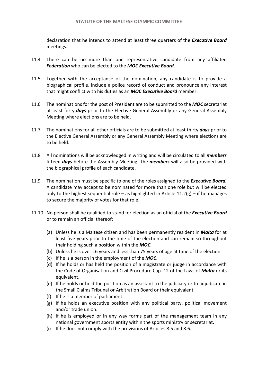declaration that he intends to attend at least three quarters of the *Executive Board*  meetings.

- 11.4 There can be no more than one representative candidate from any affiliated *Federation* who can be elected to the *MOC Executive Board.*
- 11.5 Together with the acceptance of the nomination, any candidate is to provide a biographical profile, include a police record of conduct and pronounce any interest that might conflict with his duties as an *MOC Executive Board* member.
- 11.6 The nominations for the post of President are to be submitted to the *MOC* secretariat at least forty *days* prior to the Elective General Assembly or any General Assembly Meeting where elections are to be held.
- 11.7 The nominations for all other officials are to be submitted at least thirty *days* prior to the Elective General Assembly or any General Assembly Meeting where elections are to be held.
- 11.8 All nominations will be acknowledged in writing and will be circulated to all *members* fifteen *days* before the Assembly Meeting. The *members* will also be provided with the biographical profile of each candidate.
- 11.9 The nomination must be specific to one of the roles assigned to the *Executive Board.*  A candidate may accept to be nominated for more than one role but will be elected only to the highest sequential role – as highlighted in Article  $11.2(g)$  – if he manages to secure the majority of votes for that role.
- 11.10 No person shall be qualified to stand for election as an official of the *Executive Board*  or to remain an official thereof:
	- (a) Unless he is a Maltese citizen and has been permanently resident in *Malta* for at least five years prior to the time of the election and can remain so throughout their holding such a position within the *MOC*.
	- (b) Unless he is over 16 years and less than 75 years of age at time of the election.
	- (c) If he is a person in the employment of the *MOC*.
	- (d) If he holds or has held the position of a magistrate or judge in accordance with the Code of Organisation and Civil Procedure Cap. 12 of the Laws of *Malta* or its equivalent.
	- (e) If he holds or held the position as an assistant to the judiciary or to adjudicate in the Small Claims Tribunal or Arbitration Board or their equivalent.
	- (f) If he is a member of parliament.
	- (g) If he holds an executive position with any political party, political movement and/or trade union.
	- (h) If he is employed or in any way forms part of the management team in any national government sports entity within the sports ministry or secretariat.
	- (i) If he does not comply with the provisions of Articles 8.5 and 8.6.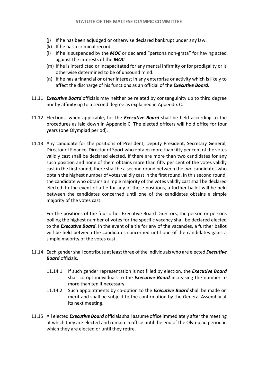- (j) If he has been adjudged or otherwise declared bankrupt under any law.
- (k) If he has a criminal record.
- (l) If he is suspended by the *MOC* or declared "persona non-grata" for having acted against the interests of the *MOC*.
- (m) If he is interdicted or incapacitated for any mental infirmity or for prodigality or is otherwise determined to be of unsound mind.
- (n) If he has a financial or other interest in any enterprise or activity which is likely to affect the discharge of his functions as an official of the *Executive Board.*
- 11.11 *Executive Board* officials may neither be related by consanguinity up to third degree nor by affinity up to a second degree as explained in Appendix C.
- 11.12 Elections, when applicable, for the *Executive Board* shall be held according to the procedures as laid down in Appendix C. The elected officers will hold office for four years (one Olympiad period).
- 11.13 Any candidate for the positions of President, Deputy President, Secretary General, Director of Finance, Director of Sport who obtains more than fifty per cent of the votes validly cast shall be declared elected. If there are more than two candidates for any such position and none of them obtains more than fifty per cent of the votes validly cast in the first round, there shall be a second round between the two candidates who obtain the highest number of votes validly cast in the first round. In this second round, the candidate who obtains a simple majority of the votes validly cast shall be declared elected. In the event of a tie for any of these positions, a further ballot will be held between the candidates concerned until one of the candidates obtains a simple majority of the votes cast.

For the positions of the four other Executive Board Directors, the person or persons polling the highest number of votes for the specific vacancy shall be declared elected to the *Executive Board*. In the event of a tie for any of the vacancies, a further ballot will be held between the candidates concerned until one of the candidates gains a simple majority of the votes cast.

- 11.14 Each gender shall contribute at least three of the individuals who are elected *Executive Board* officials.
	- 11.14.1 If such gender representation is not filled by election, the *Executive Board*  shall co-opt individuals to the *Executive Board* increasing the number to more than ten if necessary.
	- 11.14.2 Such appointments by co-option to the *Executive Board* shall be made on merit and shall be subject to the confirmation by the General Assembly at its next meeting.
- 11.15 All elected *Executive Board* officials shall assume office immediately after the meeting at which they are elected and remain in office until the end of the Olympiad period in which they are elected or until they retire.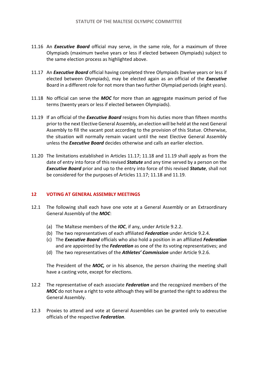- 11.16 An *Executive Board* official may serve, in the same role, for a maximum of three Olympiads (maximum twelve years or less if elected between Olympiads) subject to the same election process as highlighted above.
- 11.17 An *Executive Board* official having completed three Olympiads (twelve years or less if elected between Olympiads), may be elected again as an official of the *Executive*  Board in a different role for not more than two further Olympiad periods (eight years).
- 11.18 No official can serve the *MOC* for more than an aggregate maximum period of five terms (twenty years or less if elected between Olympiads).
- 11.19 If an official of the *Executive Board* resigns from his duties more than fifteen months prior to the next Elective General Assembly, an election will be held at the next General Assembly to fill the vacant post according to the provision of this Statue. Otherwise, the situation will normally remain vacant until the next Elective General Assembly unless the *Executive Board* decides otherwise and calls an earlier election.
- 11.20 The limitations established in Articles 11.17; 11.18 and 11.19 shall apply as from the date of entry into force of this revised *Statute* and any time served by a person on the *Executive Board* prior and up to the entry into force of this revised *Statute*, shall not be considered for the purposes of Articles 11.17; 11.18 and 11.19.

# **12 VOTING AT GENERAL ASSEMBLY MEETINGS**

- 12.1 The following shall each have one vote at a General Assembly or an Extraordinary General Assembly of the *MOC*:
	- (a) The Maltese members of the *IOC*, if any, under Article 9.2.2.
	- (b) The two representatives of each affiliated *Federation* under Article 9.2.4.
	- (c) The *Executive Board* officials who also hold a position in an affiliated *Federation*  and are appointed by the *Federation* as one of the its voting representatives; and
	- (d) The two representatives of the *Athletes' Commission* under Article 9.2.6.

The President of the *MOC,* or in his absence, the person chairing the meeting shall have a casting vote, except for elections.

- 12.2 The representative of each associate *Federation* and the recognized members of the MOC do not have a right to vote although they will be granted the right to address the General Assembly.
- 12.3 Proxies to attend and vote at General Assemblies can be granted only to executive officials of the respective *Federation*.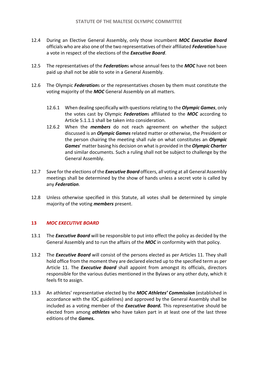- 12.4 During an Elective General Assembly, only those incumbent *MOC Executive Board*  officials who are also one of the two representatives of their affiliated *Federation* have a vote in respect of the elections of the *Executive Board*.
- 12.5 The representatives of the *Federation*s whose annual fees to the *MOC* have not been paid up shall not be able to vote in a General Assembly.
- 12.6 The Olympic *Federation*s or the representatives chosen by them must constitute the voting majority of the *MOC* General Assembly on all matters.
	- 12.6.1 When dealing specifically with questions relating to the *Olympic Games*, only the votes cast by Olympic *Federation*s affiliated to the *MOC* according to Article 5.1.1.1 shall be taken into consideration.
	- 12.6.2 When the *members* do not reach agreement on whether the subject discussed is an *Olympic Games* related matter or otherwise, the President or the person chairing the meeting shall rule on what constitutes an *Olympic Games*' matter basing his decision on what is provided in the *Olympic Charter*  and similar documents. Such a ruling shall not be subject to challenge by the General Assembly.
- 12.7 Save for the elections of the *Executive Board* officers, all voting at all General Assembly meetings shall be determined by the show of hands unless a secret vote is called by any *Federation*.
- 12.8 Unless otherwise specified in this Statute, all votes shall be determined by simple majority of the voting *members* present.

# **13** *MOC EXECUTIVE BOARD*

- 13.1 The *Executive Board* will be responsible to put into effect the policy as decided by the General Assembly and to run the affairs of the *MOC* in conformity with that policy.
- 13.2 The *Executive Board* will consist of the persons elected as per Articles 11. They shall hold office from the moment they are declared elected up to the specified term as per Article 11. The *Executive Board* shall appoint from amongst its officials, directors responsible for the various duties mentioned in the Bylaws or any other duty, which it feels fit to assign.
- 13.3 An athletes' representative elected by the *MOC Athletes' Commission* (established in accordance with the IOC guidelines) and approved by the General Assembly shall be included as a voting member of the *Executive Board.* This representative should be elected from among *athletes* who have taken part in at least one of the last three editions of the *Games.*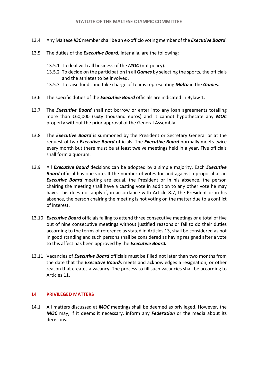- 13.4 Any Maltese *IOC* member shall be an ex-officio voting member of the *Executive Board*.
- 13.5 The duties of the *Executive Board*, inter alia, are the following:
	- 13.5.1 To deal with all business of the *MOC* (not policy).
	- 13.5.2 To decide on the participation in all *Games* by selecting the sports, the officials and the athletes to be involved.
	- 13.5.3 To raise funds and take charge of teams representing *Malta* in the *Games*.
- 13.6 The specific duties of the *Executive Board* officials are indicated in Bylaw 1.
- 13.7 The *Executive Board* shall not borrow or enter into any loan agreements totalling more than €60,000 (sixty thousand euros) and it cannot hypothecate any *MOC*  property without the prior approval of the General Assembly.
- 13.8 The *Executive Board* is summoned by the President or Secretary General or at the request of two *Executive Board* officials. The *Executive Board* normally meets twice every month but there must be at least twelve meetings held in a year. Five officials shall form a quorum.
- 13.9 All *Executive Board* decisions can be adopted by a simple majority. Each *Executive Board* official has one vote. If the number of votes for and against a proposal at an *Executive Board* meeting are equal, the President or in his absence, the person chairing the meeting shall have a casting vote in addition to any other vote he may have. This does not apply if, in accordance with Article 8.7, the President or in his absence, the person chairing the meeting is not voting on the matter due to a conflict of interest.
- 13.10 *Executive Board* officials failing to attend three consecutive meetings or a total of five out of nine consecutive meetings without justified reasons or fail to do their duties according to the terms of reference as stated in Articles 13, shall be considered as not in good standing and such persons shall be considered as having resigned after a vote to this affect has been approved by the *Executive Board.*
- 13.11 Vacancies of *Executive Board* officials must be filled not later than two months from the date that the *Executive Board*s meets and acknowledges a resignation, or other reason that creates a vacancy. The process to fill such vacancies shall be according to Articles 11.

# **14 PRIVILEGED MATTERS**

14.1 All matters discussed at *MOC* meetings shall be deemed as privileged. However, the *MOC* may, if it deems it necessary, inform any *Federation* or the media about its decisions.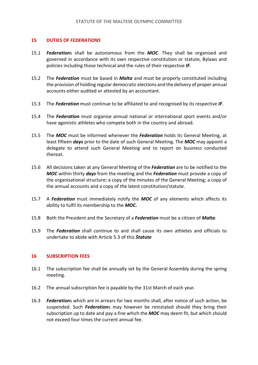## **15 DUTIES OF** *FEDERATIONS*

- 15.1 *Federation*s shall be autonomous from the *MOC*. They shall be organised and governed in accordance with its own respective constitution or statute, Bylaws and policies including those technical and the rules of their respective *IF.*
- 15.2 The *Federation* must be based in *Malta* and must be properly constituted including the provision of holding regular democratic elections and the delivery of proper annual accounts either audited or attested by an accountant.
- 15.3 The *Federation* must continue to be affiliated to and recognised by its respective *IF*.
- 15.4 The *Federation* must organise annual national or international sport events and/or have agonistic athletes who compete both in the country and abroad.
- 15.5 The *MOC* must be informed whenever the *Federation* holds its General Meeting, at least fifteen *days* prior to the date of such General Meeting. The *MOC* may appoint a delegate to attend such General Meeting and to report on business conducted thereat.
- 15.6 All decisions taken at any General Meeting of the *Federation* are to be notified to the *MOC* within thirty *days* from the meeting and the *Federation* must provide a copy of the organisational structure; a copy of the minutes of the General Meeting; a copy of the annual accounts and a copy of the latest constitution/statute.
- 15.7 A *Federation* must immediately notify the *MOC* of any elements which affects its ability to fulfil its membership to the *MOC.*
- 15.8 Both the President and the Secretary of a *Federation* must be a citizen of *Malta*.
- 15.9 The *Federation* shall continue to and shall cause its own athletes and officials to undertake to abide with Article 5.3 of this *Statute*

### **16 SUBSCRIPTION FEES**

- 16.1 The subscription fee shall be annually set by the General Assembly during the spring meeting.
- 16.2 The annual subscription fee is payable by the 31st March of each year.
- 16.3 *Federation*s which are in arrears for two months shall, after notice of such action, be suspended. Such *Federation*s may however be reinstated should they bring their subscription up to date and pay a fine which the *MOC* may deem fit, but which should not exceed four times the current annual fee.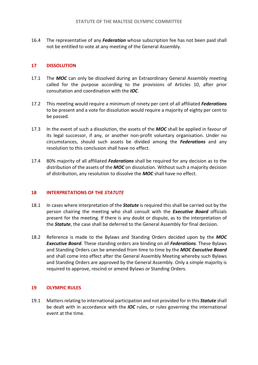16.4 The representative of any *Federation* whose subscription fee has not been paid shall not be entitled to vote at any meeting of the General Assembly.

# **17 DISSOLUTION**

- 17.1 The *MOC* can only be dissolved during an Extraordinary General Assembly meeting called for the purpose according to the provisions of Articles 10, after prior consultation and coordination with the *IOC*.
- 17.2 This meeting would require a minimum of ninety per cent of all affiliated *Federations*  to be present and a vote for dissolution would require a majority of eighty per cent to be passed.
- 17.3 In the event of such a dissolution, the assets of the *MOC* shall be applied in favour of its legal successor, if any, or another non-profit voluntary organisation. Under no circumstances, should such assets be divided among the *Federations* and any resolution to this conclusion shall have no effect.
- 17.4 80% majority of all affiliated *Federations* shall be required for any decision as to the distribution of the assets of the *MOC* on dissolution. Without such a majority decision of distribution, any resolution to dissolve the *MOC* shall have no effect.

# **18 INTERPRETATIONS OF THE** *STATUTE*

- 18.1 In cases where interpretation of the *Statute* is required this shall be carried out by the person chairing the meeting who shall consult with the *Executive Board* officials present for the meeting. If there is any doubt or dispute, as to the interpretation of the *Statute*, the case shall be deferred to the General Assembly for final decision.
- 18.2 Reference is made to the Bylaws and Standing Orders decided upon by the *MOC Executive Board*. These standing orders are binding on all *Federations*. These Bylaws and Standing Orders can be amended from time to time by the *MOC Executive Board* and shall come into effect after the General Assembly Meeting whereby such Bylaws and Standing Orders are approved by the General Assembly. Only a simple majority is required to approve, rescind or amend Bylaws or Standing Orders.

# **19 OLYMPIC RULES**

19.1 Matters relating to international participation and not provided for in this *Statute* shall be dealt with in accordance with the *IOC* rules, or rules governing the international event at the time.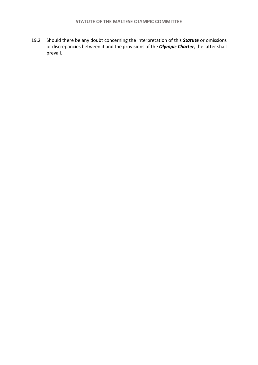19.2 Should there be any doubt concerning the interpretation of this *Statute* or omissions or discrepancies between it and the provisions of the *Olympic Charter*, the latter shall prevail.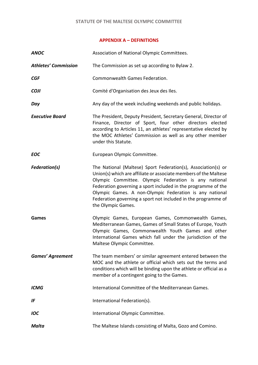### **APPENDIX A – DEFINITIONS**

| <b>ANOC</b>                 | Association of National Olympic Committees.                                                                                                                                                                                                                                                                                                                                                                   |  |  |  |
|-----------------------------|---------------------------------------------------------------------------------------------------------------------------------------------------------------------------------------------------------------------------------------------------------------------------------------------------------------------------------------------------------------------------------------------------------------|--|--|--|
| <b>Athletes' Commission</b> | The Commission as set up according to Bylaw 2.                                                                                                                                                                                                                                                                                                                                                                |  |  |  |
| <b>CGF</b>                  | Commonwealth Games Federation.                                                                                                                                                                                                                                                                                                                                                                                |  |  |  |
| <b>COJI</b>                 | Comité d'Organisation des Jeux des Iles.                                                                                                                                                                                                                                                                                                                                                                      |  |  |  |
| Day                         | Any day of the week including weekends and public holidays.                                                                                                                                                                                                                                                                                                                                                   |  |  |  |
| <b>Executive Board</b>      | The President, Deputy President, Secretary General, Director of<br>Finance, Director of Sport, four other directors elected<br>according to Articles 11, an athletes' representative elected by<br>the MOC Athletes' Commission as well as any other member<br>under this Statute.                                                                                                                            |  |  |  |
| <b>EOC</b>                  | European Olympic Committee.                                                                                                                                                                                                                                                                                                                                                                                   |  |  |  |
| <b>Federation(s)</b>        | The National (Maltese) Sport Federation(s), Association(s) or<br>Union(s) which are affiliate or associate members of the Maltese<br>Olympic Committee. Olympic Federation is any national<br>Federation governing a sport included in the programme of the<br>Olympic Games. A non-Olympic Federation is any national<br>Federation governing a sport not included in the programme of<br>the Olympic Games. |  |  |  |
| <b>Games</b>                | Olympic Games, European Games, Commonwealth Games,<br>Mediterranean Games, Games of Small States of Europe, Youth<br>Olympic Games, Commonwealth Youth Games and other<br>International Games which fall under the jurisdiction of the<br>Maltese Olympic Committee.                                                                                                                                          |  |  |  |
| <b>Games' Agreement</b>     | The team members' or similar agreement entered between the<br>MOC and the athlete or official which sets out the terms and<br>conditions which will be binding upon the athlete or official as a<br>member of a contingent going to the Games.                                                                                                                                                                |  |  |  |
| <b>ICMG</b>                 | International Committee of the Mediterranean Games.                                                                                                                                                                                                                                                                                                                                                           |  |  |  |
| IF                          | International Federation(s).                                                                                                                                                                                                                                                                                                                                                                                  |  |  |  |
| <b>IOC</b>                  | International Olympic Committee.                                                                                                                                                                                                                                                                                                                                                                              |  |  |  |
| Malta                       | The Maltese Islands consisting of Malta, Gozo and Comino.                                                                                                                                                                                                                                                                                                                                                     |  |  |  |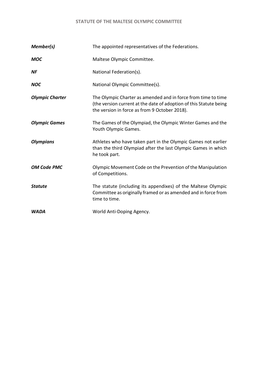# **STATUTE OF THE MALTESE OLYMPIC COMMITTEE**

| Member(s)              | The appointed representatives of the Federations.                                                                                                                                    |  |  |  |
|------------------------|--------------------------------------------------------------------------------------------------------------------------------------------------------------------------------------|--|--|--|
| <b>MOC</b>             | Maltese Olympic Committee.                                                                                                                                                           |  |  |  |
| NF                     | National Federation(s).                                                                                                                                                              |  |  |  |
| <b>NOC</b>             | National Olympic Committee(s).                                                                                                                                                       |  |  |  |
| <b>Olympic Charter</b> | The Olympic Charter as amended and in force from time to time<br>(the version current at the date of adoption of this Statute being<br>the version in force as from 9 October 2018). |  |  |  |
| <b>Olympic Games</b>   | The Games of the Olympiad, the Olympic Winter Games and the<br>Youth Olympic Games.                                                                                                  |  |  |  |
| <b>Olympians</b>       | Athletes who have taken part in the Olympic Games not earlier<br>than the third Olympiad after the last Olympic Games in which<br>he took part.                                      |  |  |  |
| <b>OM Code PMC</b>     | Olympic Movement Code on the Prevention of the Manipulation<br>of Competitions.                                                                                                      |  |  |  |
| <b>Statute</b>         | The statute (including its appendixes) of the Maltese Olympic<br>Committee as originally framed or as amended and in force from<br>time to time.                                     |  |  |  |
| <b>WADA</b>            | World Anti-Doping Agency.                                                                                                                                                            |  |  |  |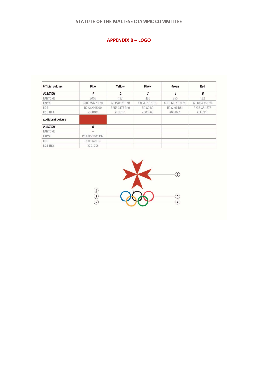# **STATUTE OF THE MALTESE OLYMPIC COMMITTEE**

# **APPENDIX B – LOGO**

| <b>Official colours</b>   | Blue            | Yellow         | <b>Black</b>    | Green           | Red           |
|---------------------------|-----------------|----------------|-----------------|-----------------|---------------|
| <b>POSITION</b>           | 1               | $\overline{2}$ | 3               | 4               | 5             |
| PANTONE                   | 3005            | 137            | 426             | 355             | 192           |
| CMYK                      | C100 M37 YO KO  | CO M34 Y91 KO  | CO MO YO K100   | C100 M0 Y100 K0 | CO M94 Y65 KO |
| RGB                       | R0 G129 B200    | R252 G177 B49  | <b>RO GO BO</b> | RO G166 B81     | R238 G51 B78  |
| <b>RGB HEX</b>            | #0081C8         | #FCB131        | #000000         | #00A651         | #EE334E       |
| <b>Additional colours</b> |                 |                |                 |                 |               |
| <b>POSITION</b>           | 6               |                |                 |                 |               |
| <b>PANTONE</b>            |                 |                |                 |                 |               |
| CMYK                      | CO M95 Y100 K14 |                |                 |                 |               |
| RGB                       | R203 G29 B5     |                |                 |                 |               |
| <b>RGB HEX</b>            | #CB1D05         |                |                 |                 |               |

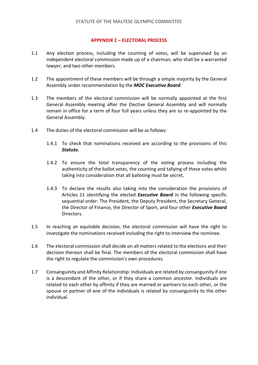## **APPENDIX C – ELECTORAL PROCESS**

- 1.1 Any election process, including the counting of votes, will be supervised by an independent electoral commission made up of a chairman, who shall be a warranted lawyer, and two other members.
- 1.2 The appointment of these members will be through a simple majority by the General Assembly under recommendation by the *MOC Executive Board*.
- 1.3 The members of the electoral commission will be normally appointed at the first General Assembly meeting after the Elective General Assembly and will normally remain in office for a term of four full years unless they are so re-appointed by the General Assembly.
- 1.4 The duties of the electoral commission will be as follows:
	- 1.4.1 To check that nominations received are according to the provisions of this *Statute.*
	- 1.4.2 To ensure the total transparency of the voting process including the authenticity of the ballot votes, the counting and tallying of these votes whilst taking into consideration that all balloting must be secret,
	- 1.4.3 To declare the results also taking into the consideration the provisions of Articles 11 identifying the elected *Executive Board* in the following specific sequential order: The President, the Deputy President, the Secretary General, the Director of Finance, the Director of Sport, and four other *Executive Board*  Directors.
- 1.5 In reaching an equitable decision, the electoral commission will have the right to investigate the nominations received including the right to interview the nominee.
- 1.6 The electoral commission shall decide on all matters related to the elections and their decision thereon shall be final. The members of the electoral commission shall have the right to regulate the commission's own procedures.
- 1.7 Consanguinity and Affinity Relationship: Individuals are related by consanguinity if one is a descendant of the other, or if they share a common ancestor. Individuals are related to each other by affinity if they are married or partners to each other, or the spouse or partner of one of the individuals is related by consanguinity to the other individual.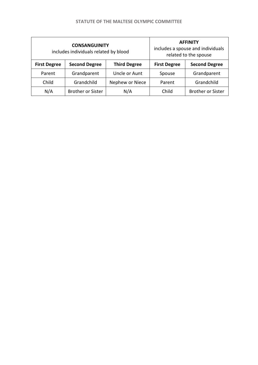|                     | <b>CONSANGUINITY</b><br>includes individuals related by blood | <b>AFFINITY</b><br>includes a spouse and individuals<br>related to the spouse |                     |                          |
|---------------------|---------------------------------------------------------------|-------------------------------------------------------------------------------|---------------------|--------------------------|
| <b>First Degree</b> | <b>Second Degree</b>                                          | <b>Third Degree</b>                                                           | <b>First Degree</b> | <b>Second Degree</b>     |
| Parent              | Grandparent                                                   | Uncle or Aunt                                                                 | Spouse              | Grandparent              |
| Child               | Grandchild                                                    | Nephew or Niece                                                               | Parent              | Grandchild               |
| N/A                 | <b>Brother or Sister</b>                                      | N/A                                                                           | Child               | <b>Brother or Sister</b> |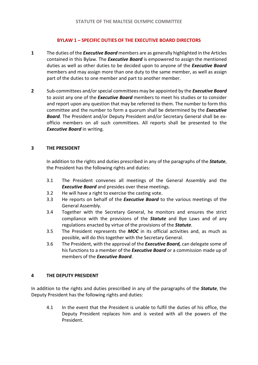# **BYLAW 1 – SPECIFIC DUTIES OF THE EXECUTIVE BOARD DIRECTORS**

- **1** The duties of the *Executive Board* members are as generally highlighted in the Articles contained in this Bylaw. The *Executive Board* is empowered to assign the mentioned duties as well as other duties to be decided upon to anyone of the *Executive Board* members and may assign more than one duty to the same member, as well as assign part of the duties to one member and part to another member.
- **2** Sub-committees and/or special committees may be appointed by the *Executive Board* to assist any one of the *Executive Board* members to meet his studies or to consider and report upon any question that may be referred to them. The number to form this committee and the number to form a quorum shall be determined by the *Executive Board.* The President and/or Deputy President and/or Secretary General shall be exofficio members on all such committees. All reports shall be presented to the *Executive Board* in writing.

## **3 THE PRESIDENT**

In addition to the rights and duties prescribed in any of the paragraphs of the *Statute*, the President has the following rights and duties:

- 3.1 The President convenes all meetings of the General Assembly and the *Executive Board* and presides over these meetings.
- 3.2 He will have a right to exercise the casting vote.
- 3.3 He reports on behalf of the *Executive Board* to the various meetings of the General Assembly.
- 3.4 Together with the Secretary General, he monitors and ensures the strict compliance with the provisions of the *Statute* and Bye Laws and of any regulations enacted by virtue of the provisions of the *Statute*.
- 3.5 The President represents the *MOC* in its official activities and, as much as possible, will do this together with the Secretary General.
- 3.6 The President, with the approval of the *Executive Board,* can delegate some of his functions to a member of the *Executive Board* or a commission made up of members of the *Executive Board.*

# **4 THE DEPUTY PRESIDENT**

In addition to the rights and duties prescribed in any of the paragraphs of the *Statute*, the Deputy President has the following rights and duties:

4.1 In the event that the President is unable to fulfil the duties of his office, the Deputy President replaces him and is vested with all the powers of the President.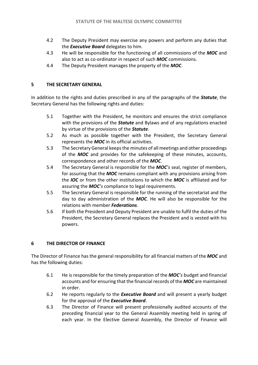- 4.2 The Deputy President may exercise any powers and perform any duties that the *Executive Board* delegates to him.
- 4.3 He will be responsible for the functioning of all commissions of the *MOC* and also to act as co-ordinator in respect of such *MOC* commissions.
- 4.4 The Deputy President manages the property of the *MOC*.

# **5 THE SECRETARY GENERAL**

In addition to the rights and duties prescribed in any of the paragraphs of the *Statute*, the Secretary General has the following rights and duties:

- 5.1 Together with the President, he monitors and ensures the strict compliance with the provisions of the *Statute* and Bylaws and of any regulations enacted by virtue of the provisions of the *Statute*.
- 5.2 As much as possible together with the President, the Secretary General represents the *MOC* in its official activities.
- 5.3 The Secretary General keeps the minutes of all meetings and other proceedings of the *MOC* and provides for the safekeeping of these minutes, accounts, correspondence and other records of the *MOC*.
- 5.4 The Secretary General is responsible for the *MOC's* seal, register of members, for assuring that the *MOC* remains compliant with any provisions arising from the *IOC* or from the other institutions to which the *MOC* is affiliated and for assuring the *MOC's* compliance to legal requirements.
- 5.5 The Secretary General is responsible for the running of the secretariat and the day to day administration of the *MOC.* He will also be responsible for the relations with member *Federations.*
- 5.6 If both the President and Deputy President are unable to fulfil the duties of the President, the Secretary General replaces the President and is vested with his powers.

# **6 THE DIRECTOR OF FINANCE**

The Director of Finance has the general responsibility for all financial matters of the *MOC* and has the following duties:

- 6.1 He is responsible for the timely preparation of the *MOC's* budget and financial accounts and for ensuring that the financial records of the *MOC* are maintained in order.
- 6.2 He reports regularly to the *Executive Board* and will present a yearly budget for the approval of the *Executive Board*.
- 6.3 The Director of Finance will present professionally audited accounts of the preceding financial year to the General Assembly meeting held in spring of each year. In the Elective General Assembly, the Director of Finance will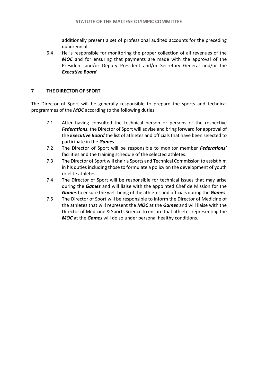additionally present a set of professional audited accounts for the preceding quadrennial.

6.4 He is responsible for monitoring the proper collection of all revenues of the *MOC* and for ensuring that payments are made with the approval of the President and/or Deputy President and/or Secretary General and/or the *Executive Board.*

# **7 THE DIRECTOR OF SPORT**

The Director of Sport will be generally responsible to prepare the sports and technical programmes of the *MOC* according to the following duties:

- 7.1 After having consulted the technical person or persons of the respective *Federations,* the Director of Sport will advise and bring forward for approval of the *Executive Board* the list of athletes and officials that have been selected to participate in the *Games.*
- 7.2 The Director of Sport will be responsible to monitor member *Federations'* facilities and the training schedule of the selected athletes.
- 7.3 The Director of Sport will chair a Sports and Technical Commission to assist him in his duties including those to formulate a policy on the development of youth or elite athletes.
- 7.4 The Director of Sport will be responsible for technical issues that may arise during the *Games* and will liaise with the appointed Chef de Mission for the *Games*to ensure the well-being of the athletes and officials during the *Games.*
- 7.5 The Director of Sport will be responsible to inform the Director of Medicine of the athletes that will represent the *MOC* at the *Games* and will liaise with the Director of Medicine & Sports Science to ensure that athletes representing the *MOC* at the *Games* will do so under personal healthy conditions.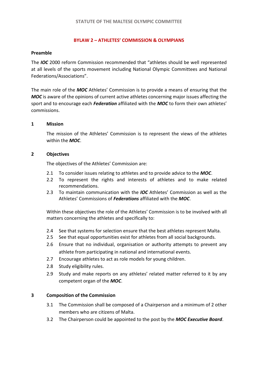# **BYLAW 2 – ATHLETES' COMMISSION & OLYMPIANS**

## **Preamble**

The *IOC* 2000 reform Commission recommended that "athletes should be well represented at all levels of the sports movement including National Olympic Committees and National Federations/Associations".

The main role of the *MOC* Athletes' Commission is to provide a means of ensuring that the *MOC* is aware of the opinions of current active athletes concerning major issues affecting the sport and to encourage each *Federation* affiliated with the *MOC* to form their own athletes' commissions.

# **1 Mission**

The mission of the Athletes' Commission is to represent the views of the athletes within the *MOC*.

## **2 Objectives**

The objectives of the Athletes' Commission are:

- 2.1 To consider issues relating to athletes and to provide advice to the *MOC*.
- 2.2 To represent the rights and interests of athletes and to make related recommendations.
- 2.3 To maintain communication with the *IOC* Athletes' Commission as well as the Athletes' Commissions of *Federations* affiliated with the *MOC*.

Within these objectives the role of the Athletes' Commission is to be involved with all matters concerning the athletes and specifically to:

- 2.4 See that systems for selection ensure that the best athletes represent Malta.
- 2.5 See that equal opportunities exist for athletes from all social backgrounds.
- 2.6 Ensure that no individual, organisation or authority attempts to prevent any athlete from participating in national and international events.
- 2.7 Encourage athletes to act as role models for young children.
- 2.8 Study eligibility rules.
- 2.9 Study and make reports on any athletes' related matter referred to it by any competent organ of the *MOC*.

# **3 Composition of the Commission**

- 3.1 The Commission shall be composed of a Chairperson and a minimum of 2 other members who are citizens of Malta.
- 3.2 The Chairperson could be appointed to the post by the *MOC Executive Board*.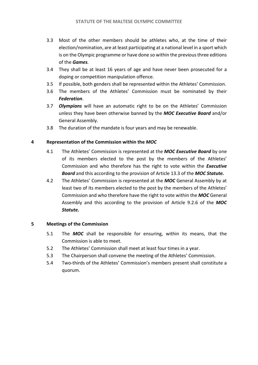- 3.3 Most of the other members should be athletes who, at the time of their election/nomination, are at least participating at a national level in a sport which is on the Olympic programme or have done so within the previous three editions of the *Games.*
- 3.4 They shall be at least 16 years of age and have never been prosecuted for a doping or competition manipulation offence.
- 3.5 If possible, both genders shall be represented within the Athletes' Commission.
- 3.6 The members of the Athletes' Commission must be nominated by their *Federation*.
- 3.7 *Olympians* will have an automatic right to be on the Athletes' Commission unless they have been otherwise banned by the *MOC Executive Board* and/or General Assembly.
- 3.8 The duration of the mandate is four years and may be renewable.

# **4 Representation of the Commission within the** *MOC*

- 4.1 The Athletes' Commission is represented at the *MOC Executive Board* by one of its members elected to the post by the members of the Athletes' Commission and who therefore has the right to vote within the *Executive Board* and this according to the provision of Article 13.3 of the *MOC Statute.*
- 4.2 The Athletes' Commission is represented at the *MOC* General Assembly by at least two of its members elected to the post by the members of the Athletes' Commission and who therefore have the right to vote within the *MOC* General Assembly and this according to the provision of Article 9.2.6 of the *MOC Statute.*

# **5 Meetings of the Commission**

- 5.1 The *MOC* shall be responsible for ensuring, within its means, that the Commission is able to meet.
- 5.2 The Athletes' Commission shall meet at least four times in a year.
- 5.3 The Chairperson shall convene the meeting of the Athletes' Commission.
- 5.4 Two-thirds of the Athletes' Commission's members present shall constitute a quorum.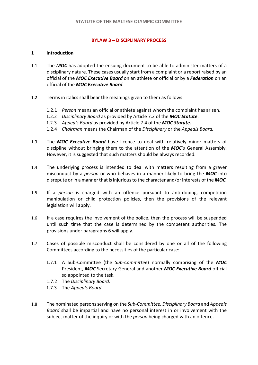## **BYLAW 3 – DISCIPLINARY PROCESS**

## **1 Introduction**

- 1.1 The *MOC* has adopted the ensuing document to be able to administer matters of a disciplinary nature. These cases usually start from a complaint or a report raised by an official of the *MOC Executive Board* on an athlete or official or by a *Federation* on an official of the *MOC Executive Board.*
- 1.2 Terms in italics shall bear the meanings given to them as follows:
	- 1.2.1 *Person* means an official or athlete against whom the complaint has arisen.
	- 1.2.2 *Disciplinary Board* as provided by Article 7.2 of the *MOC Statute*.
	- 1.2.3 *Appeals Board* as provided by Article 7.4 of the *MOC Statute.*
	- 1.2.4 *Chairman* means the Chairman of the *Disciplinary* or the *Appeals Board.*
- 1.3 The *MOC Executive Board* have licence to deal with relatively minor matters of discipline without bringing them to the attention of the *MOC's* General Assembly. However, it is suggested that such matters should be always recorded.
- 1.4 The underlying process is intended to deal with matters resulting from a graver misconduct by a *person* or who behaves in a manner likely to bring the *MOC* into disrepute or in a manner that is injurious to the character and/or interests of the *MOC.*
- 1.5 If a *person* is charged with an offence pursuant to anti-doping, competition manipulation or child protection policies, then the provisions of the relevant legislation will apply.
- 1.6 If a case requires the involvement of the police, then the process will be suspended until such time that the case is determined by the competent authorities. The provisions under paragraphs 6 will apply.
- 1.7 Cases of possible misconduct shall be considered by one or all of the following Committees according to the necessities of the particular case:
	- 1.7.1 A Sub-Committee (the *Sub-Committee*) normally comprising of the *MOC* President, *MOC* Secretary General and another *MOC Executive Board* official so appointed to the task.
	- 1.7.2 The *Disciplinary Board.*
	- 1.7.3 The *Appeals Board.*
- 1.8 The nominated persons serving on the *Sub-Committee, Disciplinary Board* and *Appeals Board* shall be impartial and have no personal interest in or involvement with the subject matter of the inquiry or with the *person* being charged with an offence.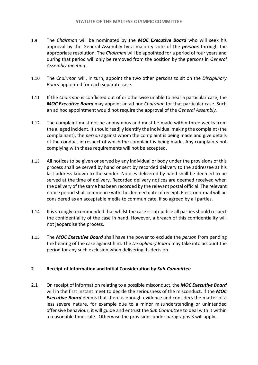- 1.9 The *Chairman* will be nominated by the *MOC Executive Board* who will seek his approval by the General Assembly by a majority vote of the *persons* through the appropriate resolution. The *Chairman* will be appointed for a period of four years and during that period will only be removed from the position by the persons in *General Assembly meeting*.
- 1.10 The *Chairman* will, in turn, appoint the two other persons to sit on the *Disciplinary Board* appointed for each separate case.
- 1.11 If the *Chairman* is conflicted out of or otherwise unable to hear a particular case, the *MOC Executive Board* may appoint an ad hoc *Chairman* for that particular case. Such an ad hoc appointment would not require the approval of the *General Assembly.*
- 1.12 The complaint must not be anonymous and must be made within three weeks from the alleged incident. It should readily identify the individual making the complaint (the complainant), the *person* against whom the complaint is being made and give details of the conduct in respect of which the complaint is being made. Any complaints not complying with these requirements will not be accepted.
- 1.13 All notices to be given or served by any individual or body under the provisions of this process shall be served by hand or sent by recorded delivery to the addressee at his last address known to the sender. Notices delivered by hand shall be deemed to be served at the time of delivery. Recorded delivery notices are deemed received when the delivery of the same has been recorded by the relevant postal official. The relevant notice period shall commence with the deemed date of receipt. Electronic mail will be considered as an acceptable media to communicate, if so agreed by all parties.
- 1.14 It is strongly recommended that whilst the case is sub-judice all parties should respect the confidentiality of the case in hand. However, a breach of this confidentiality will not jeopardise the process.
- 1.15 The *MOC Executive Board* shall have the power to exclude the *person* from pending the hearing of the case against him. The *Disciplinary Board* may take into account the period for any such exclusion when delivering its decision.

# **2 Receipt of Information and Initial Consideration by** *Sub-Committee*

2.1 On receipt of information relating to a possible misconduct, the *MOC Executive Board* will in the first instant meet to decide the seriousness of the misconduct. If the *MOC Executive Board* deems that there is enough evidence and considers the matter of a less severe nature, for example due to a minor misunderstanding or unintended offensive behaviour, it will guide and entrust the *Sub Committee* to deal with it within a reasonable timescale. Otherwise the provisions under paragraphs 3 will apply.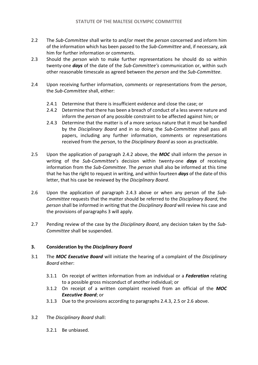- 2.2 The *Sub-Committee* shall write to and/or meet the *person* concerned and inform him of the information which has been passed to the *Sub-Committee* and, if necessary, ask him for further information or comments.
- 2.3 Should the *person* wish to make further representations he should do so within twenty-one *days* of the date of the *Sub-Committee's* communication or, within such other reasonable timescale as agreed between the *person* and the *Sub-Committee*.
- 2.4 Upon receiving further information, comments or representations from the *person*, the *Sub-Committee* shall, either:
	- 2.4.1 Determine that there is insufficient evidence and close the case; or
	- 2.4.2 Determine that there has been a breach of conduct of a less severe nature and inform the *person* of any possible constraint to be affected against him; or
	- 2.4.3 Determine that the matter is of a more serious nature that it must be handled by the *Disciplinary Board* and in so doing the *Sub-Committee* shall pass all papers, including any further information, comments or representations received from the *person*, to the *Disciplinary Board* as soon as practicable.
- 2.5 Upon the application of paragraph 2.4.2 above, the *MOC* shall inform the *person* in writing of the *Sub-Committee*'s decision within twenty-one *days* of receiving information from the *Sub-Committee*. The *person* shall also be informed at this time that he has the right to request in writing, and within fourteen *days* of the date of this letter, that his case be reviewed by the *Disciplinary Board*.
- 2.6 Upon the application of paragraph 2.4.3 above or when any person of the *Sub-Committee* requests that the matter should be referred to the *Disciplinary Board*, the *person* shall be informed in writing that the *Disciplinary Board* will review his case and the provisions of paragraphs 3 will apply.
- 2.7 Pending review of the case by the *Disciplinary Board*, any decision taken by the *Sub-Committee* shall be suspended.

# **3. Consideration by the** *Disciplinary Board*

- 3.1 The *MOC Executive Board* will initiate the hearing of a complaint of the *Disciplinary Board* either:
	- 3.1.1 On receipt of written information from an individual or a *Federation* relating to a possible gross misconduct of another individual; or
	- 3.1.2 On receipt of a written complaint received from an official of the *MOC Executive Board*; or
	- 3.1.3 Due to the provisions according to paragraphs 2.4.3, 2.5 or 2.6 above.
- 3.2 The *Disciplinary Board* shall:
	- 3.2.1 Be unbiased.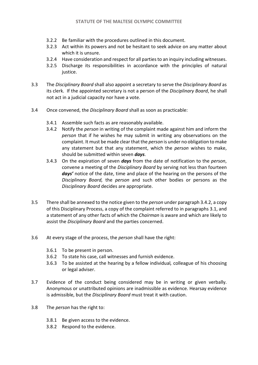- 3.2.2 Be familiar with the procedures outlined in this document.
- 3.2.3 Act within its powers and not be hesitant to seek advice on any matter about which it is unsure.
- 3.2.4 Have consideration and respect for all parties to an inquiry including witnesses.
- 3.2.5 Discharge its responsibilities in accordance with the principles of natural justice.
- 3.3 The *Disciplinary Board* shall also appoint a secretary to serve the *Disciplinary Board* as its clerk. If the appointed secretary is not a person of the *Disciplinary Board*, he shall not act in a judicial capacity nor have a vote.
- 3.4 Once convened, the *Disciplinary Board* shall as soon as practicable:
	- 3.4.1 Assemble such facts as are reasonably available.
	- 3.4.2 Notify the *person* in writing of the complaint made against him and inform the *person* that if he wishes he may submit in writing any observations on the complaint. It must be made clear that the *person* is under no obligation to make any statement but that any statement, which the *person* wishes to make, should be submitted within seven *days*.
	- 3.4.3 On the expiration of seven *days* from the date of notification to the *person*, convene a meeting of the *Disciplinary Board* by serving not less than fourteen *days'* notice of the date, time and place of the hearing on the persons of the *Disciplinary Board,* the *person* and such other bodies or persons as the *Disciplinary Board* decides are appropriate.
- 3.5 There shall be annexed to the notice given to the *person* under paragraph 3.4.2, a copy of this Disciplinary Process, a copy of the complaint referred to in paragraphs 3.1, and a statement of any other facts of which the *Chairman* is aware and which are likely to assist the *Disciplinary Board* and the parties concerned.
- 3.6 At every stage of the process, the *person* shall have the right:
	- 3.6.1 To be present in person.
	- 3.6.2 To state his case, call witnesses and furnish evidence.
	- 3.6.3 To be assisted at the hearing by a fellow individual*,* colleague of his choosing or legal adviser.
- 3.7 Evidence of the conduct being considered may be in writing or given verbally. Anonymous or unattributed opinions are inadmissible as evidence. Hearsay evidence is admissible, but the *Disciplinary Board* must treat it with caution.
- 3.8 The *person* has the right to:
	- 3.8.1 Be given access to the evidence.
	- 3.8.2 Respond to the evidence.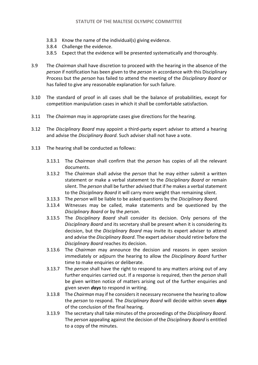- 3.8.3 Know the name of the individual(s) giving evidence.
- 3.8.4 Challenge the evidence.
- 3.8.5 Expect that the evidence will be presented systematically and thoroughly.
- 3.9 The *Chairman* shall have discretion to proceed with the hearing in the absence of the *person* if notification has been given to the *person* in accordance with this Disciplinary Process but the *person* has failed to attend the meeting of the *Disciplinary Board* or has failed to give any reasonable explanation for such failure.
- 3.10 The standard of proof in all cases shall be the balance of probabilities, except for competition manipulation cases in which it shall be comfortable satisfaction.
- 3.11 The *Chairman* may in appropriate cases give directions for the hearing.
- 3.12 The *Disciplinary Board* may appoint a third-party expert adviser to attend a hearing and advise the *Disciplinary Board*. Such adviser shall not have a vote.
- 3.13 The hearing shall be conducted as follows:
	- 3.13.1 The *Chairman* shall confirm that the *person* has copies of all the relevant documents.
	- 3.13.2 The *Chairman* shall advise the *person* that he may either submit a written statement or make a verbal statement to the *Disciplinary Board* or remain silent. The *person* shall be further advised that if he makes a verbal statement to the *Disciplinary Board* it will carry more weight than remaining silent.
	- 3.13.3 The *person* will be liable to be asked questions by the *Disciplinary Board.*
	- 3.13.4 Witnesses may be called, make statements and be questioned by the *Disciplinary Board* or by the *person*.
	- 3.13.5 The *Disciplinary Board* shall consider its decision. Only persons of the *Disciplinary Board* and its secretary shall be present when it is considering its decision, but the *Disciplinary Board* may invite its expert adviser to attend and advise the *Disciplinary Board*. The expert adviser should retire before the *Disciplinary Board* reaches its decision.
	- 3.13.6 The *Chairman* may announce the decision and reasons in open session immediately or adjourn the hearing to allow the *Disciplinary Board* further time to make enquiries or deliberate.
	- 3.13.7 The *person* shall have the right to respond to any matters arising out of any further enquiries carried out. If a response is required, then the *person* shall be given written notice of matters arising out of the further enquiries and given seven *days* to respond in writing.
	- 3.13.8 The *Chairman* may if he considers it necessary reconvene the hearing to allow the *person* to respond. The *Disciplinary Board* will decide within seven *days* of the conclusion of the final hearing.
	- 3.13.9 The secretary shall take minutes of the proceedings of the *Disciplinary Board.* The *person* appealing against the decision of the *Disciplinary Board* is entitled to a copy of the minutes.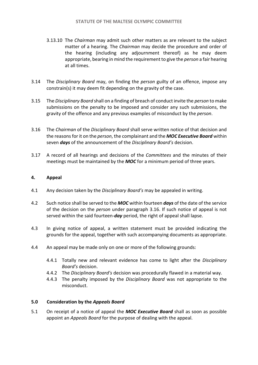- 3.13.10 The *Chairman* may admit such other matters as are relevant to the subject matter of a hearing. The *Chairman* may decide the procedure and order of the hearing (including any adjournment thereof) as he may deem appropriate, bearing in mind the requirement to give the *person* a fair hearing at all times.
- 3.14 The *Disciplinary Board* may, on finding the *person* guilty of an offence, impose any constrain(s) it may deem fit depending on the gravity of the case.
- 3.15 The *Disciplinary Board* shall on a finding of breach of conduct invite the *person* to make submissions on the penalty to be imposed and consider any such submissions, the gravity of the offence and any previous examples of misconduct by the *person*.
- 3.16 The *Chairman* of the *Disciplinary Board* shall serve written notice of that decision and the reasons for it on the *person*, the complainant and the *MOC Executive Board* within seven *days* of the announcement of the *Disciplinary Board's* decision.
- 3.17 A record of all hearings and decisions of the *Committees* and the minutes of their meetings must be maintained by the *MOC* for a minimum period of three years.

# **4. Appeal**

- 4.1 Any decision taken by the *Disciplinary Board's* may be appealed in writing.
- 4.2 Such notice shall be served to the *MOC* within fourteen *days* of the date of the service of the decision on the *person* under paragraph 3.16. If such notice of appeal is not served within the said fourteen-*day* period, the right of appeal shall lapse.
- 4.3 In giving notice of appeal, a written statement must be provided indicating the grounds for the appeal, together with such accompanying documents as appropriate.
- 4.4 An appeal may be made only on one or more of the following grounds:
	- 4.4.1 Totally new and relevant evidence has come to light after the *Disciplinary Board's* decision.
	- 4.4.2 The *Disciplinary Board's* decision was procedurally flawed in a material way.
	- 4.4.3 The penalty imposed by the *Disciplinary Board* was not appropriate to the misconduct.

# **5.0 Consideration by the** *Appeals Board*

5.1 On receipt of a notice of appeal the *MOC Executive Board* shall as soon as possible appoint an *Appeals Board* for the purpose of dealing with the appeal.